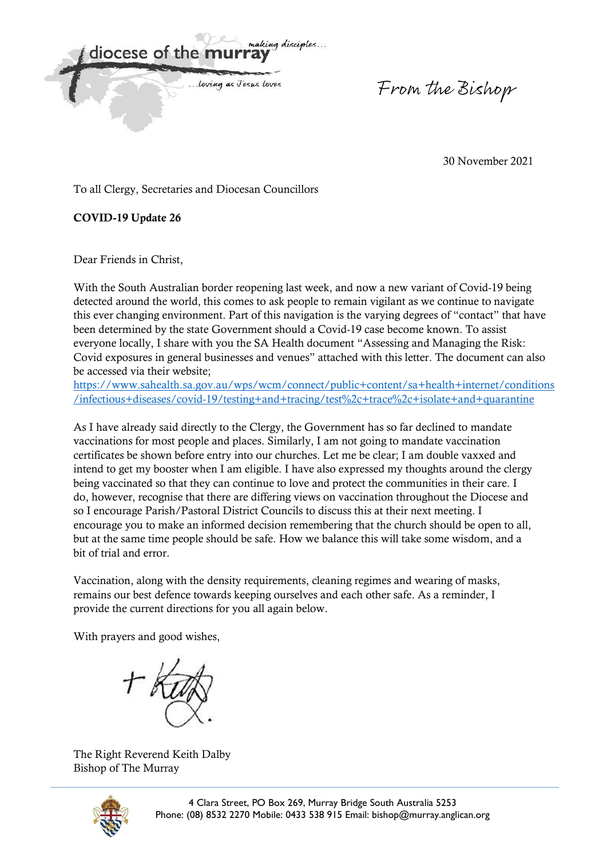diocese of the m ... loving as Jesus Loves

From the Bishop

30 November 2021

To all Clergy, Secretaries and Diocesan Councillors

COVID-19 Update 26

Dear Friends in Christ,

With the South Australian border reopening last week, and now a new variant of Covid-19 being detected around the world, this comes to ask people to remain vigilant as we continue to navigate this ever changing environment. Part of this navigation is the varying degrees of "contact" that have been determined by the state Government should a Covid-19 case become known. To assist everyone locally, I share with you the SA Health document "Assessing and Managing the Risk: Covid exposures in general businesses and venues" attached with this letter. The document can also be accessed via their website;

[https://www.sahealth.sa.gov.au/wps/wcm/connect/public+content/sa+health+internet/conditions](https://www.sahealth.sa.gov.au/wps/wcm/connect/public+content/sa+health+internet/conditions/infectious+diseases/covid-19/testing+and+tracing/test%2c+trace%2c+isolate+and+quarantine) [/infectious+diseases/covid-19/testing+and+tracing/test%2c+trace%2c+isolate+and+quarantine](https://www.sahealth.sa.gov.au/wps/wcm/connect/public+content/sa+health+internet/conditions/infectious+diseases/covid-19/testing+and+tracing/test%2c+trace%2c+isolate+and+quarantine)

As I have already said directly to the Clergy, the Government has so far declined to mandate vaccinations for most people and places. Similarly, I am not going to mandate vaccination certificates be shown before entry into our churches. Let me be clear; I am double vaxxed and intend to get my booster when I am eligible. I have also expressed my thoughts around the clergy being vaccinated so that they can continue to love and protect the communities in their care. I do, however, recognise that there are differing views on vaccination throughout the Diocese and so I encourage Parish/Pastoral District Councils to discuss this at their next meeting. I encourage you to make an informed decision remembering that the church should be open to all, but at the same time people should be safe. How we balance this will take some wisdom, and a bit of trial and error.

Vaccination, along with the density requirements, cleaning regimes and wearing of masks, remains our best defence towards keeping ourselves and each other safe. As a reminder, I provide the current directions for you all again below.

With prayers and good wishes,

The Right Reverend Keith Dalby Bishop of The Murray

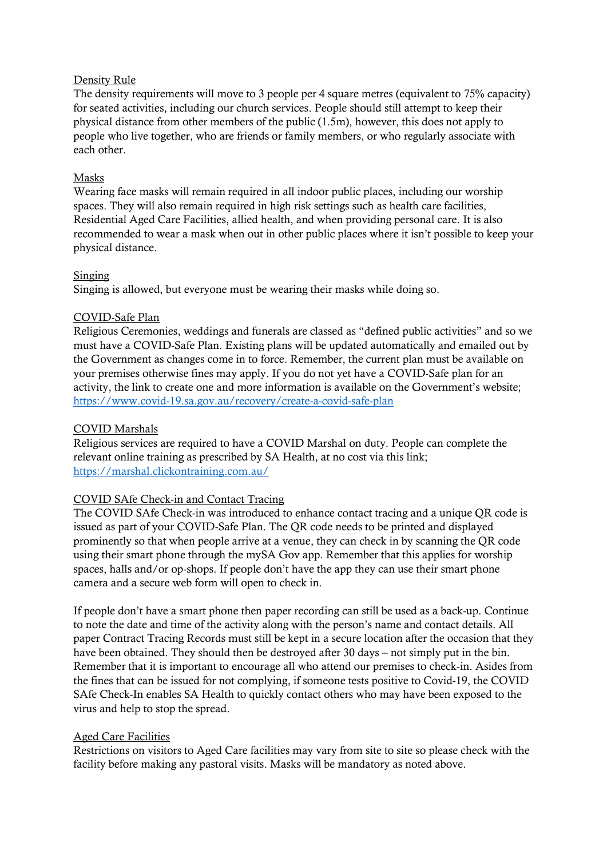## Density Rule

The density requirements will move to 3 people per 4 square metres (equivalent to 75% capacity) for seated activities, including our church services. People should still attempt to keep their physical distance from other members of the public (1.5m), however, this does not apply to people who live together, who are friends or family members, or who regularly associate with each other.

## Masks

Wearing face masks will remain required in all indoor public places, including our worship spaces. They will also remain required in high risk settings such as health care facilities, Residential Aged Care Facilities, allied health, and when providing personal care. It is also recommended to wear a mask when out in other public places where it isn't possible to keep your physical distance.

### Singing

Singing is allowed, but everyone must be wearing their masks while doing so.

## COVID-Safe Plan

Religious Ceremonies, weddings and funerals are classed as "defined public activities" and so we must have a COVID-Safe Plan. Existing plans will be updated automatically and emailed out by the Government as changes come in to force. Remember, the current plan must be available on your premises otherwise fines may apply. If you do not yet have a COVID-Safe plan for an activity, the link to create one and more information is available on the Government's website; <https://www.covid-19.sa.gov.au/recovery/create-a-covid-safe-plan>

### COVID Marshals

Religious services are required to have a COVID Marshal on duty. People can complete the relevant online training as prescribed by SA Health, at no cost via this link; <https://marshal.clickontraining.com.au/>

## COVID SAfe Check-in and Contact Tracing

The COVID SAfe Check-in was introduced to enhance contact tracing and a unique QR code is issued as part of your COVID-Safe Plan. The QR code needs to be printed and displayed prominently so that when people arrive at a venue, they can check in by scanning the QR code using their smart phone through the mySA Gov app. Remember that this applies for worship spaces, halls and/or op-shops. If people don't have the app they can use their smart phone camera and a secure web form will open to check in.

If people don't have a smart phone then paper recording can still be used as a back-up. Continue to note the date and time of the activity along with the person's name and contact details. All paper Contract Tracing Records must still be kept in a secure location after the occasion that they have been obtained. They should then be destroyed after 30 days – not simply put in the bin. Remember that it is important to encourage all who attend our premises to check-in. Asides from the fines that can be issued for not complying, if someone tests positive to Covid-19, the COVID SAfe Check-In enables SA Health to quickly contact others who may have been exposed to the virus and help to stop the spread.

## Aged Care Facilities

Restrictions on visitors to Aged Care facilities may vary from site to site so please check with the facility before making any pastoral visits. Masks will be mandatory as noted above.